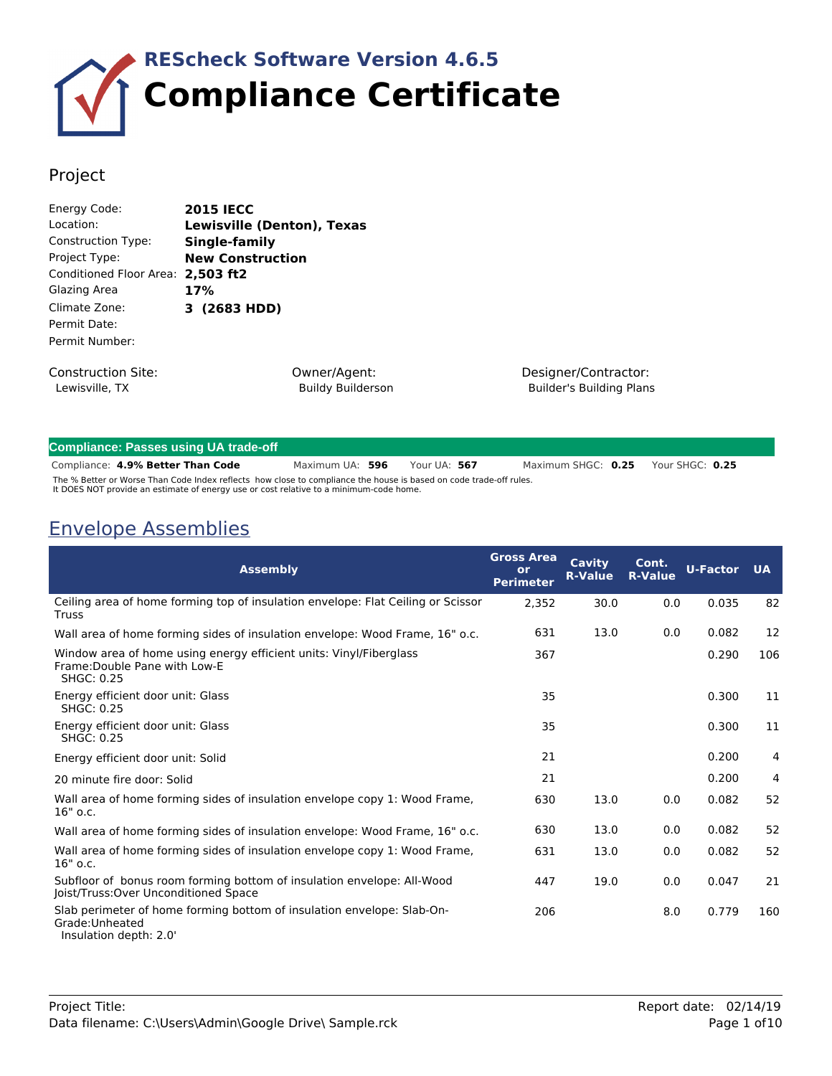

## Project

| Energy Code:              | <b>2015 IECC</b>           |
|---------------------------|----------------------------|
| Location:                 | Lewisville (Denton), Texas |
| Construction Type:        | Single-family              |
| Project Type:             | <b>New Construction</b>    |
| Conditioned Floor Area:   | 2,503 ft2                  |
| Glazing Area              | 17%                        |
| Climate Zone:             | 3 (2683 HDD)               |
| Permit Date:              |                            |
| Permit Number:            |                            |
| <b>Construction Site:</b> | Owner/Agent                |

Lewisville, TX

Owner/Agent: Buildy Builderson Designer/Contractor: Builder's Building Plans

| <b>Compliance: Passes using UA trade-off</b>                                                                                                                                                                 |                 |  |              |                    |                 |  |
|--------------------------------------------------------------------------------------------------------------------------------------------------------------------------------------------------------------|-----------------|--|--------------|--------------------|-----------------|--|
| Compliance: 4.9% Better Than Code                                                                                                                                                                            | Maximum UA: 596 |  | Your UA: 567 | Maximum SHGC: 0.25 | Your SHGC: 0.25 |  |
| The % Better or Worse Than Code Index reflects how close to compliance the house is based on code trade-off rules.<br>It DOES NOT provide an estimate of energy use or cost relative to a minimum-code home. |                 |  |              |                    |                 |  |

Envelope Assemblies

| <b>Assembly</b>                                                                                                              | <b>Gross Area</b><br>or<br><b>Perimeter</b> | <b>Cavity</b><br><b>R-Value</b> | Cont.<br><b>R-Value</b> | <b>U-Factor</b> | <b>UA</b> |
|------------------------------------------------------------------------------------------------------------------------------|---------------------------------------------|---------------------------------|-------------------------|-----------------|-----------|
| Ceiling area of home forming top of insulation envelope: Flat Ceiling or Scissor<br><b>Truss</b>                             | 2,352                                       | 30.0                            | 0.0                     | 0.035           | 82        |
| Wall area of home forming sides of insulation envelope: Wood Frame, 16" o.c.                                                 | 631                                         | 13.0                            | 0.0                     | 0.082           | 12        |
| Window area of home using energy efficient units: Vinyl/Fiberglass<br>Frame: Double Pane with Low-E<br><b>SHGC: 0.25</b>     | 367                                         |                                 |                         | 0.290           | 106       |
| Energy efficient door unit: Glass<br>SHGC: 0.25                                                                              | 35                                          |                                 |                         | 0.300           | 11        |
| Energy efficient door unit: Glass<br><b>SHGC: 0.25</b>                                                                       | 35                                          |                                 |                         | 0.300           | 11        |
| Energy efficient door unit: Solid                                                                                            | 21                                          |                                 |                         | 0.200           | 4         |
| 20 minute fire door: Solid                                                                                                   | 21                                          |                                 |                         | 0.200           | 4         |
| Wall area of home forming sides of insulation envelope copy 1: Wood Frame,<br>$16"$ o.c.                                     | 630                                         | 13.0                            | 0.0                     | 0.082           | 52        |
| Wall area of home forming sides of insulation envelope: Wood Frame, 16" o.c.                                                 | 630                                         | 13.0                            | 0.0                     | 0.082           | 52        |
| Wall area of home forming sides of insulation envelope copy 1: Wood Frame,<br>$16"$ o.c.                                     | 631                                         | 13.0                            | 0.0                     | 0.082           | 52        |
| Subfloor of bonus room forming bottom of insulation envelope: All-Wood<br>Joist/Truss: Over Unconditioned Space              | 447                                         | 19.0                            | 0.0                     | 0.047           | 21        |
| Slab perimeter of home forming bottom of insulation envelope: Slab-On-<br>Grade: Unheated<br>ا ۱۸ شما می است به استفاده بود. | 206                                         |                                 | 8.0                     | 0.779           | 160       |

Insulation depth: 2.0'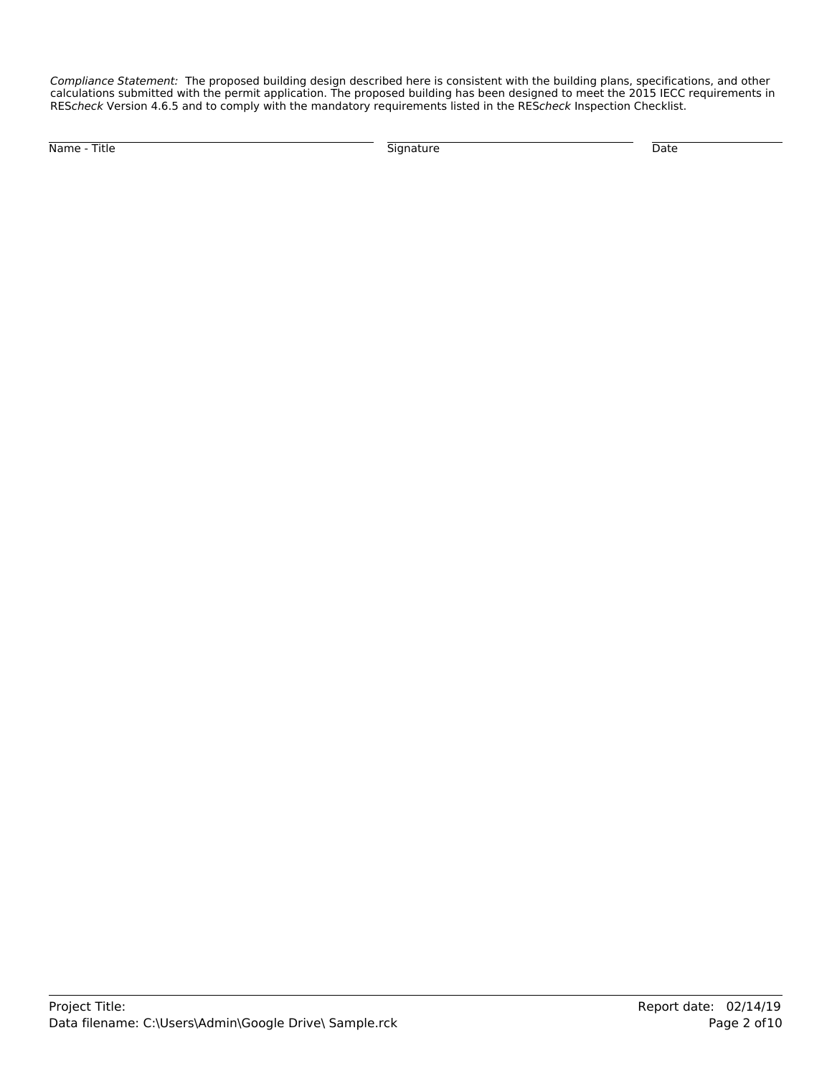*Compliance Statement:* The proposed building design described here is consistent with the building plans, specifications, and other calculations submitted with the permit application. The proposed building has been designed to meet the 2015 IECC requirements in RES*check* Version 4.6.5 and to comply with the mandatory requirements listed in the RES*check* Inspection Checklist.

Name - Title Signature Date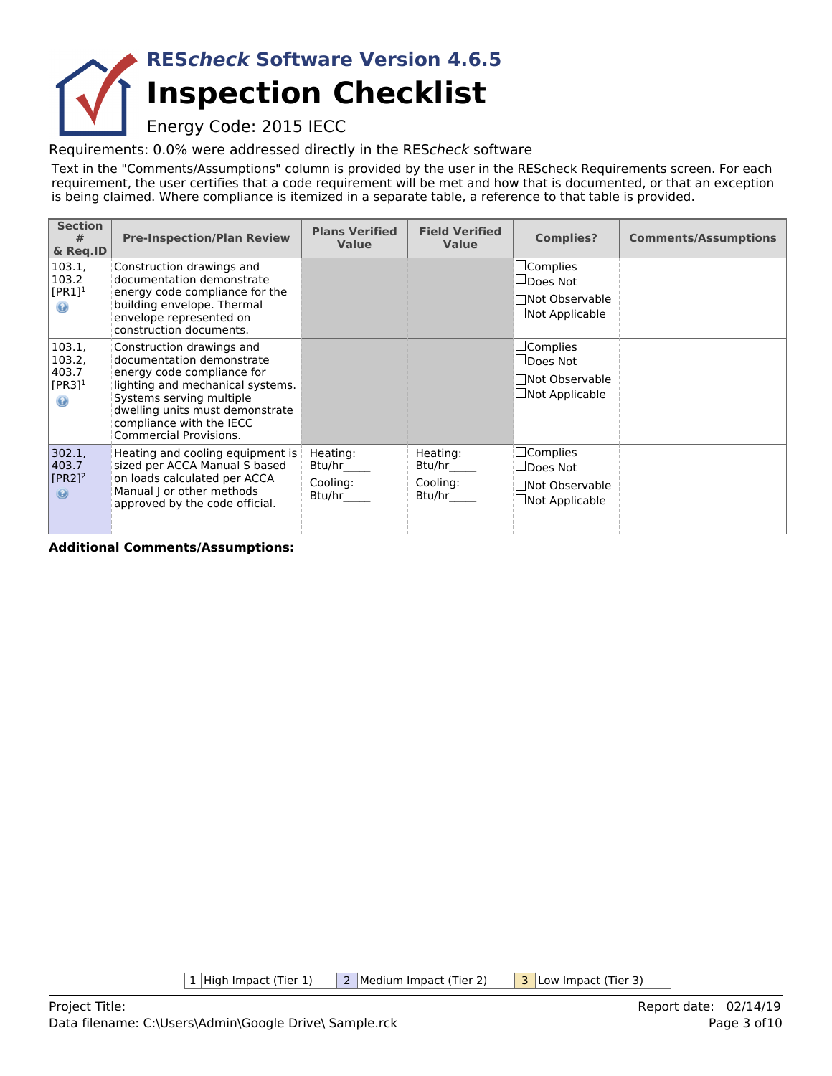## **Inspection Checklist RES***check* **Software Version 4.6.5**

Energy Code: 2015 IECC

Requirements: 0.0% were addressed directly in the RES*check* software

Text in the "Comments/Assumptions" column is provided by the user in the REScheck Requirements screen. For each requirement, the user certifies that a code requirement will be met and how that is documented, or that an exception is being claimed. Where compliance is itemized in a separate table, a reference to that table is provided.

| <b>Section</b><br>#<br>& Reg.ID                                    | <b>Pre-Inspection/Plan Review</b>                                                                                                                                                                                                                    | <b>Plans Verified</b><br><b>Value</b>    | <b>Field Verified</b><br>Value           | <b>Complies?</b>                                                                         | <b>Comments/Assumptions</b> |
|--------------------------------------------------------------------|------------------------------------------------------------------------------------------------------------------------------------------------------------------------------------------------------------------------------------------------------|------------------------------------------|------------------------------------------|------------------------------------------------------------------------------------------|-----------------------------|
| 103.1,<br>103.2<br>$[PR1]$ <sup>1</sup><br>$\circledcirc$          | Construction drawings and<br>documentation demonstrate<br>energy code compliance for the<br>building envelope. Thermal<br>envelope represented on<br>construction documents.                                                                         |                                          |                                          | $\square$ Complies<br>$\Box$ Does Not<br>□Not Observable<br>$\Box$ Not Applicable        |                             |
| 103.1,<br>103.2,<br>403.7<br>$[PR3]$ <sup>1</sup><br>$\circledast$ | Construction drawings and<br>documentation demonstrate<br>energy code compliance for<br>lighting and mechanical systems.<br>Systems serving multiple<br>dwelling units must demonstrate<br>compliance with the IECC<br><b>Commercial Provisions.</b> |                                          |                                          | $\sqcup$ Complies<br>$\Box$ Does Not<br>□Not Observable<br>$\square$ Not Applicable      |                             |
| 302.1,<br>403.7<br>$[PR2]$ <sup>2</sup><br>$\circledast$           | Heating and cooling equipment is<br>sized per ACCA Manual S based<br>on loads calculated per ACCA<br>Manual J or other methods<br>approved by the code official.                                                                                     | Heating:<br>Btu/hr<br>Cooling:<br>Btu/hr | Heating:<br>Btu/hr<br>Cooling:<br>Btu/hr | $\Box$ Complies<br>$\sqcup$ Does Not<br>$\sqcap$ Not Observable<br>$\Box$ Not Applicable |                             |

**Additional Comments/Assumptions:**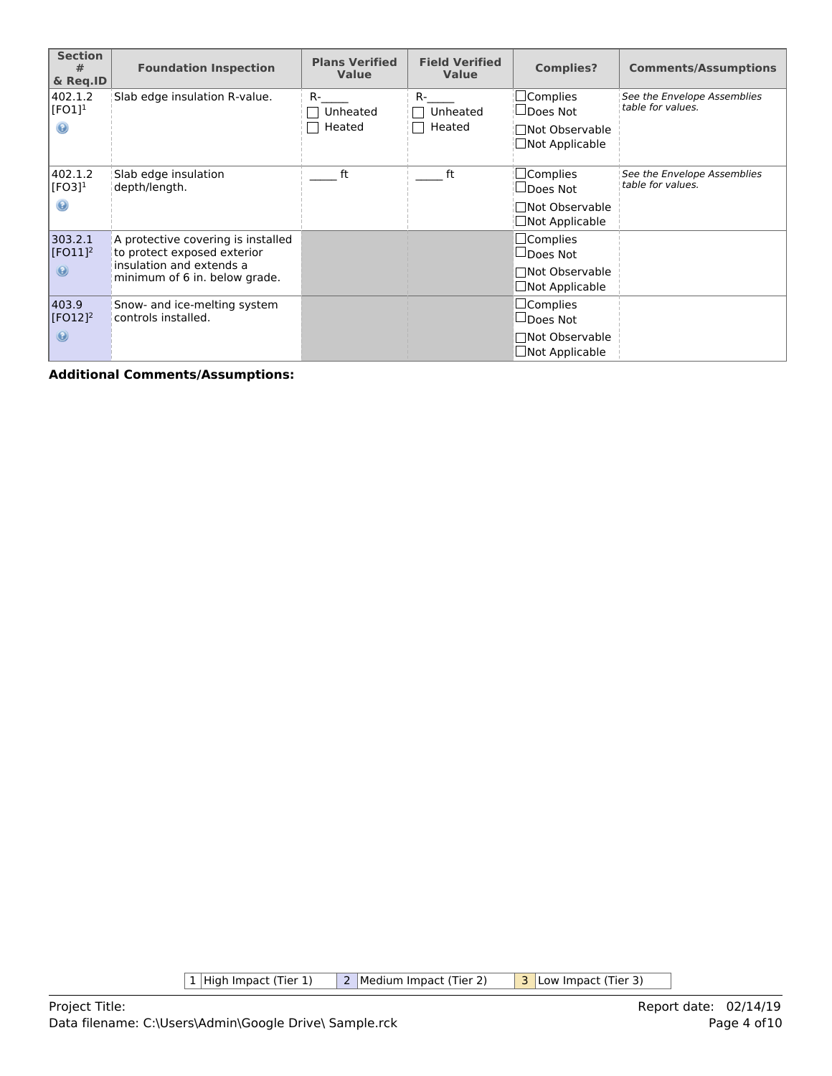| <b>Section</b><br>#<br>& Reg.ID                 | <b>Foundation Inspection</b>                                                                  | <b>Plans Verified</b><br><b>Value</b> | <b>Field Verified</b><br><b>Value</b> | <b>Complies?</b>                                             | <b>Comments/Assumptions</b>                      |
|-------------------------------------------------|-----------------------------------------------------------------------------------------------|---------------------------------------|---------------------------------------|--------------------------------------------------------------|--------------------------------------------------|
| 402.1.2<br>[FO1] <sup>1</sup><br>$\circledcirc$ | Slab edge insulation R-value.                                                                 | R-<br>Unheated<br>Heated              | $R-$<br>Unheated<br>Heated            | $\sqsupset$ Complies<br>$\sqcup$ Does Not<br>□Not Observable | See the Envelope Assemblies<br>table for values. |
|                                                 |                                                                                               |                                       |                                       | Not Applicable                                               |                                                  |
| 402.1.2<br>$[FO3]$ <sup>1</sup>                 | Slab edge insulation<br>depth/length.                                                         | ft                                    | ft                                    | $\Box$ Complies<br>$\sqcup$ Does Not                         | See the Envelope Assemblies<br>table for values. |
| 0                                               |                                                                                               |                                       |                                       | □Not Observable<br>Not Applicable                            |                                                  |
| 303.2.1<br>$[FO11]$ <sup>2</sup>                | A protective covering is installed<br>to protect exposed exterior<br>insulation and extends a |                                       |                                       | $\Box$ Complies<br>$\Box$ Does Not                           |                                                  |
| $\odot$                                         | minimum of 6 in. below grade.                                                                 |                                       |                                       | □Not Observable<br>$\Box$ Not Applicable                     |                                                  |
| 403.9<br>$[FO12]$ <sup>2</sup>                  | Snow- and ice-melting system<br>controls installed.                                           |                                       |                                       | $\square$ Complies<br>$\Box$ Does Not                        |                                                  |
| $\odot$                                         |                                                                                               |                                       |                                       | □Not Observable<br>$\Box$ Not Applicable                     |                                                  |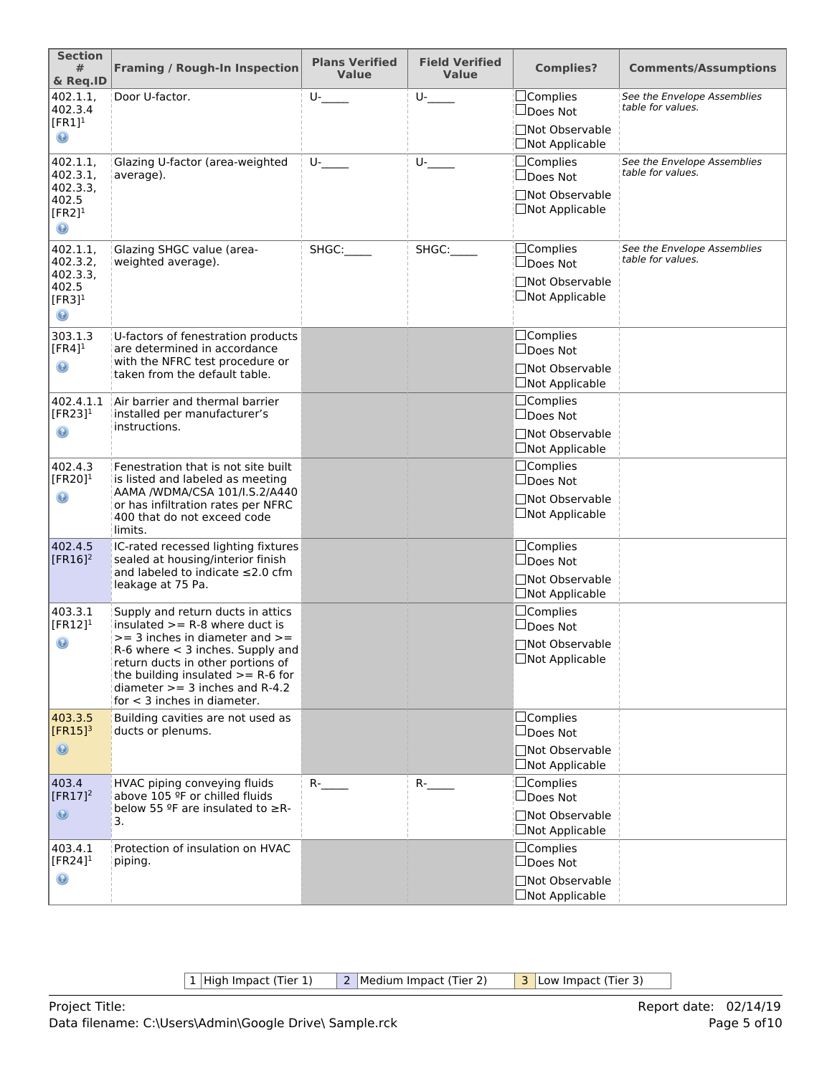| <b>Section</b><br>#<br>& Req.ID                                                     | <b>Framing / Rough-In Inspection</b>                                                                                                                                                                                                                                                                 | <b>Plans Verified</b><br><b>Value</b> | <b>Field Verified</b><br><b>Value</b> | <b>Complies?</b>                                                               | <b>Comments/Assumptions</b>                      |
|-------------------------------------------------------------------------------------|------------------------------------------------------------------------------------------------------------------------------------------------------------------------------------------------------------------------------------------------------------------------------------------------------|---------------------------------------|---------------------------------------|--------------------------------------------------------------------------------|--------------------------------------------------|
| 402.1.1,<br>402.3.4<br>$[FR1]$ <sup>1</sup><br>◉                                    | Door U-factor.                                                                                                                                                                                                                                                                                       | $U$ -                                 | $U$ -                                 | $\Box$ Complies<br>□Does Not<br>□Not Observable<br>□Not Applicable             | See the Envelope Assemblies<br>table for values. |
| 402.1.1,<br>402.3.1,<br>402.3.3,<br>402.5<br>$[FR2]$ <sup>1</sup><br>$\circledcirc$ | Glazing U-factor (area-weighted<br>average).                                                                                                                                                                                                                                                         | $U$ -                                 | U-                                    | $\Box$ Complies<br>□Does Not<br>□Not Observable<br>□Not Applicable             | See the Envelope Assemblies<br>table for values. |
| 402.1.1,<br>402.3.2,<br>402.3.3,<br>402.5<br>$[FR3]$ <sup>1</sup><br>$\odot$        | Glazing SHGC value (area-<br>weighted average).                                                                                                                                                                                                                                                      | SHGC:                                 | SHGC:                                 | $\Box$ Complies<br>□Does Not<br>□Not Observable<br>□Not Applicable             | See the Envelope Assemblies<br>table for values. |
| 303.1.3<br>$[FR4]$ <sup>1</sup><br>$\mathbf \Theta$                                 | U-factors of fenestration products<br>are determined in accordance<br>with the NFRC test procedure or<br>taken from the default table.                                                                                                                                                               |                                       |                                       | □Complies<br>$\Box$ Does Not<br>□Not Observable<br>$\Box$ Not Applicable       |                                                  |
| 402.4.1.1<br>[FR23] $1$<br>◉                                                        | Air barrier and thermal barrier<br>installed per manufacturer's<br>instructions.                                                                                                                                                                                                                     |                                       |                                       | $\Box$ Complies<br>$\Box$ Does Not<br>□Not Observable<br>$\Box$ Not Applicable |                                                  |
| 402.4.3<br>[FR20] $1$<br>◉                                                          | Fenestration that is not site built<br>is listed and labeled as meeting<br>AAMA /WDMA/CSA 101/I.S.2/A440<br>or has infiltration rates per NFRC<br>400 that do not exceed code<br>limits.                                                                                                             |                                       |                                       | $\Box$ Complies<br>$\Box$ Does Not<br>□Not Observable<br>$\Box$ Not Applicable |                                                  |
| 402.4.5<br>$[FR16]^2$                                                               | IC-rated recessed lighting fixtures<br>sealed at housing/interior finish<br>and labeled to indicate ≤2.0 cfm<br>leakage at 75 Pa.                                                                                                                                                                    |                                       |                                       | $\Box$ Complies<br>$\Box$ Does Not<br>□Not Observable<br>□Not Applicable       |                                                  |
| 403.3.1<br>$[FR12]$ <sup>1</sup><br>$\circledcirc$                                  | Supply and return ducts in attics<br>insulated $>=$ R-8 where duct is<br>$>=$ 3 inches in diameter and $>=$<br>$R-6$ where $<$ 3 inches. Supply and<br>return ducts in other portions of<br>the building insulated $>= R-6$ for<br>diameter $>=$ 3 inches and R-4.2<br>for $<$ 3 inches in diameter. |                                       |                                       | $\Box$ Complies<br>$\Box$ Does Not<br>□Not Observable<br>$\Box$ Not Applicable |                                                  |
| 403.3.5<br>$[FR15]$ <sup>3</sup><br>$\circledcirc$                                  | Building cavities are not used as<br>ducts or plenums.                                                                                                                                                                                                                                               |                                       |                                       | $\Box$ Complies<br>$\Box$ Does Not<br>□Not Observable<br>$\Box$ Not Applicable |                                                  |
| 403.4<br>$[FR17]^2$<br>$\circledcirc$                                               | HVAC piping conveying fluids<br>above 105 ºF or chilled fluids<br>below 55 $9$ F are insulated to $\geq$ R-<br>3.                                                                                                                                                                                    | $R$ -                                 | $R$ -                                 | $\Box$ Complies<br>$\Box$ Does Not<br>□Not Observable<br>□Not Applicable       |                                                  |
| 403.4.1<br>[FR24] $1$<br>◉                                                          | Protection of insulation on HVAC<br>piping.                                                                                                                                                                                                                                                          |                                       |                                       | $\Box$ Complies<br>$\Box$ Does Not<br>□Not Observable<br>$\Box$ Not Applicable |                                                  |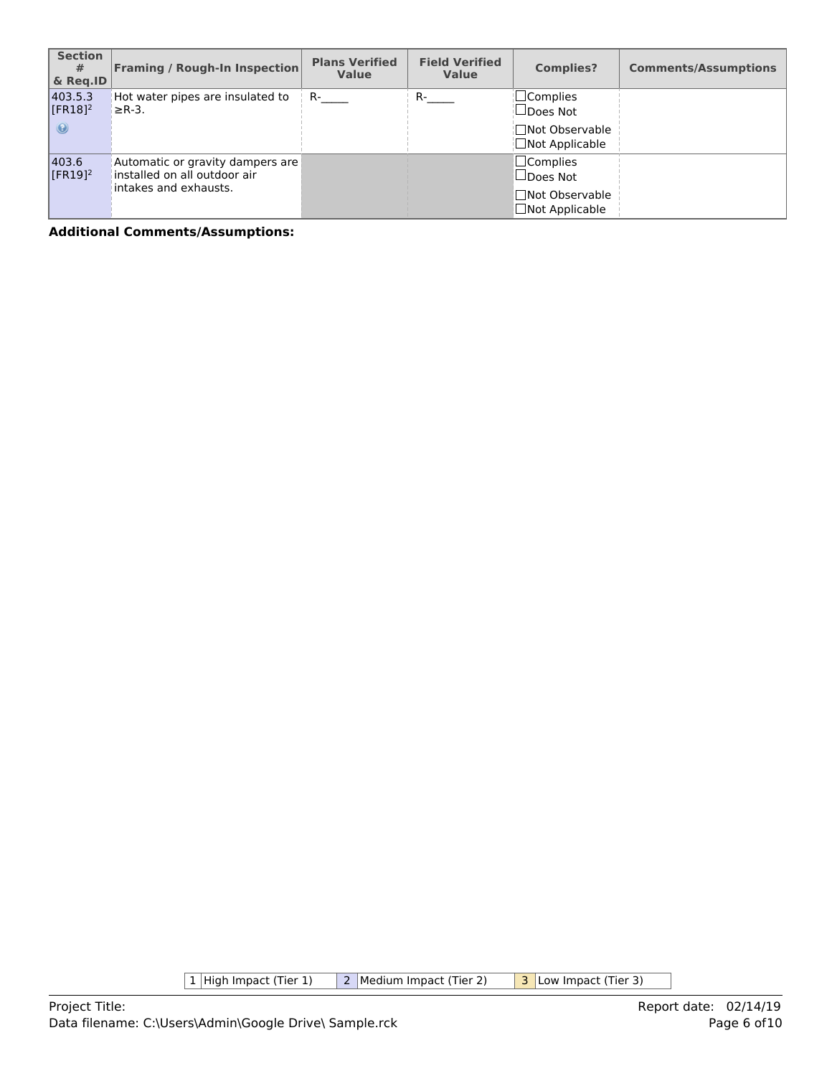| <b>Section</b><br>#<br>& Reg.ID             | <b>Framing / Rough-In Inspection</b>                                                      | <b>Plans Verified</b><br><b>Value</b> | <b>Field Verified</b><br><b>Value</b> | <b>Complies?</b>                                                               | <b>Comments/Assumptions</b> |
|---------------------------------------------|-------------------------------------------------------------------------------------------|---------------------------------------|---------------------------------------|--------------------------------------------------------------------------------|-----------------------------|
| 403.5.3<br>$[FR18]$ <sup>2</sup><br>$\odot$ | Hot water pipes are insulated to<br>$\geq$ R-3.                                           | $R-$                                  | $R_{\text{max}}$                      | ¦□Complies<br>$\Box$ Does Not<br>¦∏Not Observable<br>$\Box$ Not Applicable     |                             |
| 403.6<br>$[FR19]$ <sup>2</sup>              | Automatic or gravity dampers are<br>installed on all outdoor air<br>intakes and exhausts. |                                       |                                       | $\Box$ Complies<br>$\Box$ Does Not<br>□Not Observable<br>$\Box$ Not Applicable |                             |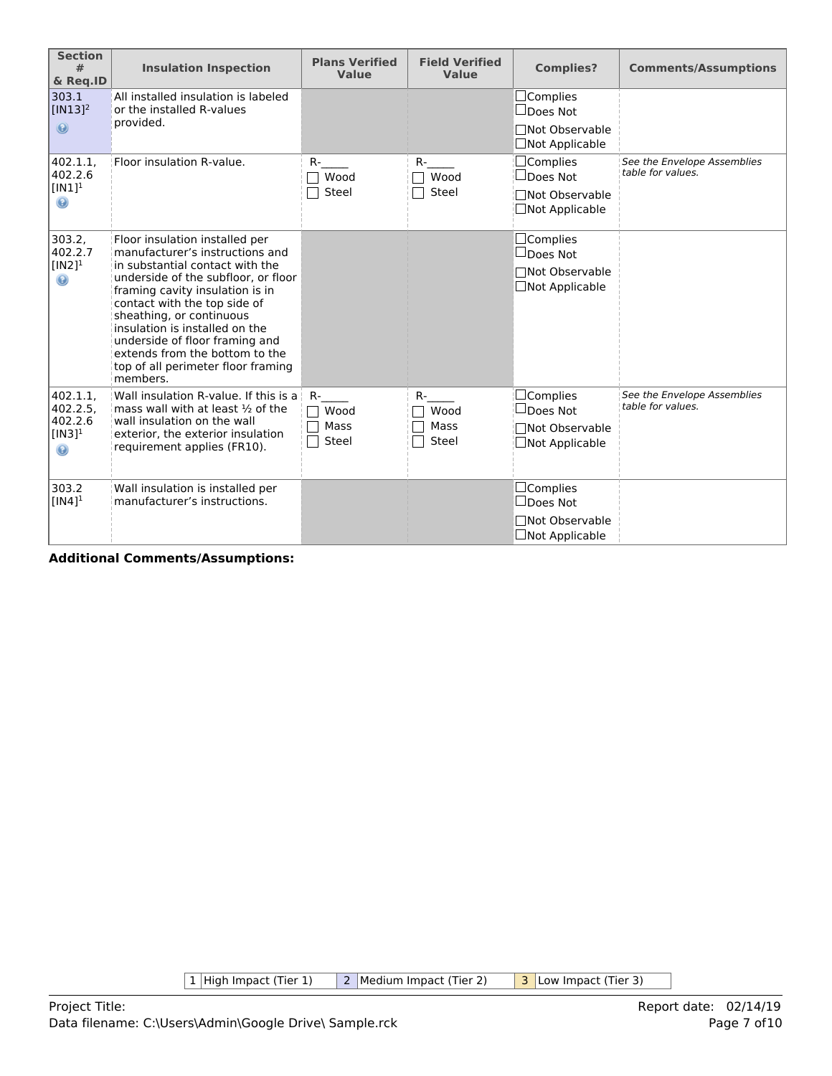| <b>Section</b><br>#<br>& Req.ID                                    | <b>Insulation Inspection</b>                                                                                                                                                                                                                                                                                                                                                                       | <b>Plans Verified</b><br>Value | <b>Field Verified</b><br><b>Value</b> | <b>Complies?</b>                                                                  | <b>Comments/Assumptions</b>                      |
|--------------------------------------------------------------------|----------------------------------------------------------------------------------------------------------------------------------------------------------------------------------------------------------------------------------------------------------------------------------------------------------------------------------------------------------------------------------------------------|--------------------------------|---------------------------------------|-----------------------------------------------------------------------------------|--------------------------------------------------|
| 303.1<br>$[IN13]$ <sup>2</sup><br>$\circledcirc$                   | All installed insulation is labeled<br>or the installed R-values<br>provided.                                                                                                                                                                                                                                                                                                                      |                                |                                       | $\Box$ Complies<br>$\Box$ Does Not<br>□Not Observable<br>□Not Applicable          |                                                  |
| 402.1.1,<br>402.2.6<br>$[IN1]$ <sup>1</sup><br>$\odot$             | Floor insulation R-value.                                                                                                                                                                                                                                                                                                                                                                          | R-<br>Wood<br>Steel            | $R-$<br>Wood<br>Steel                 | $\Box$ Complies<br>$\Box$ Does Not<br>□Not Observable<br>□Not Applicable          | See the Envelope Assemblies<br>table for values. |
| 303.2,<br>402.2.7<br>$[IN2]$ <sup>1</sup><br>$\odot$               | Floor insulation installed per<br>manufacturer's instructions and<br>in substantial contact with the<br>underside of the subfloor, or floor<br>framing cavity insulation is in<br>contact with the top side of<br>sheathing, or continuous<br>insulation is installed on the<br>underside of floor framing and<br>extends from the bottom to the<br>top of all perimeter floor framing<br>members. |                                |                                       | $\Box$ Complies<br>$\Box$ Does Not<br>□Not Observable<br>$\Box$ Not Applicable    |                                                  |
| 402.1.1.<br>402.2.5.<br>402.2.6<br>$[IN3]$ <sup>1</sup><br>$\odot$ | Wall insulation R-value. If this is a<br>mass wall with at least $\frac{1}{2}$ of the<br>wall insulation on the wall<br>exterior, the exterior insulation<br>requirement applies (FR10).                                                                                                                                                                                                           | R-<br>Wood<br>Mass<br>Steel    | $R-$<br>Wood<br>Mass<br>Steel         | $\Box$ Complies<br>$\sqcup$ Does Not<br>Not Observable<br>$\Box$ Not Applicable   | See the Envelope Assemblies<br>table for values. |
| 303.2<br>$[IN4]$ <sup>1</sup>                                      | Wall insulation is installed per<br>manufacturer's instructions.                                                                                                                                                                                                                                                                                                                                   |                                |                                       | $\square$ Complies<br>$\Box$ Does Not<br>□Not Observable<br>$\Box$ Not Applicable |                                                  |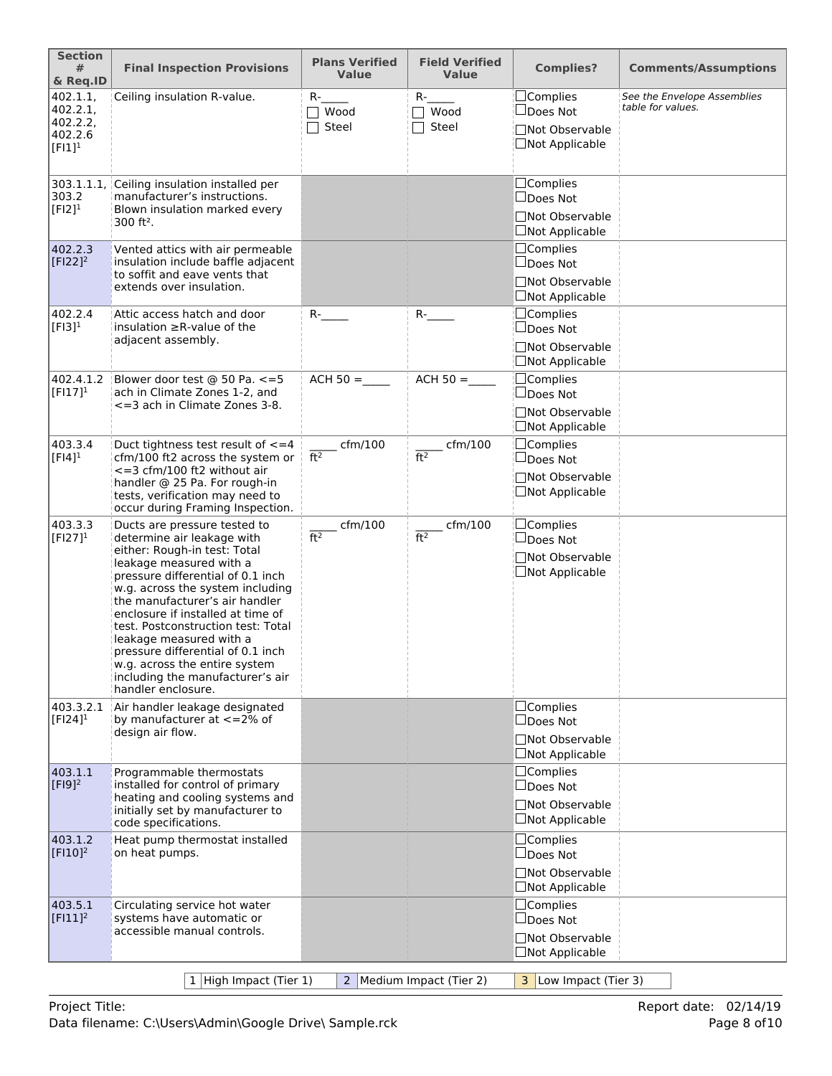| <b>Section</b><br>#<br>& Req.ID                          | <b>Final Inspection Provisions</b>                                                                                                                                                                                                                                                                                                                                                                                                                                     | <b>Plans Verified</b><br><b>Value</b> | <b>Field Verified</b><br><b>Value</b> | <b>Complies?</b>                                                                | <b>Comments/Assumptions</b>                      |
|----------------------------------------------------------|------------------------------------------------------------------------------------------------------------------------------------------------------------------------------------------------------------------------------------------------------------------------------------------------------------------------------------------------------------------------------------------------------------------------------------------------------------------------|---------------------------------------|---------------------------------------|---------------------------------------------------------------------------------|--------------------------------------------------|
| 402.1.1,<br>402.2.1<br>402.2.2,<br>402.2.6<br>$[FI]^{1}$ | Ceiling insulation R-value.                                                                                                                                                                                                                                                                                                                                                                                                                                            | $R-$<br>$\top$ Wood<br>Steel          | $R-$<br>$\sqcap$ Wood<br>Steel        | □Complies<br>□Does Not<br>□Not Observable<br>□Not Applicable                    | See the Envelope Assemblies<br>table for values. |
| 303.1.1.1<br>303.2<br>$[F12]$ <sup>1</sup>               | Ceiling insulation installed per<br>manufacturer's instructions.<br>Blown insulation marked every<br>$300$ ft <sup>2</sup> .                                                                                                                                                                                                                                                                                                                                           |                                       |                                       | $\Box$ Complies<br>$\Box$ Does Not<br>□Not Observable<br>$\Box$ Not Applicable  |                                                  |
| 402.2.3<br>$[F122]^2$                                    | Vented attics with air permeable<br>insulation include baffle adjacent<br>to soffit and eave vents that<br>extends over insulation.                                                                                                                                                                                                                                                                                                                                    |                                       |                                       | □Complies<br>$\Box$ Does Not<br>□Not Observable<br>$\Box$ Not Applicable        |                                                  |
| 402.2.4<br>$[F13]$ <sup>1</sup>                          | Attic access hatch and door<br>insulation $\geq$ R-value of the<br>adjacent assembly.                                                                                                                                                                                                                                                                                                                                                                                  | $R$ - $\qquad$                        | $R$ -                                 | $\Box$ Complies<br>$\Box$ Does Not<br>□Not Observable<br>□Not Applicable        |                                                  |
| 402.4.1.2<br>$[FI17]^{1}$                                | Blower door test @ 50 Pa. <= 5<br>ach in Climate Zones 1-2, and<br><= 3 ach in Climate Zones 3-8.                                                                                                                                                                                                                                                                                                                                                                      | $ACH 50 =$                            | $ACH 50 =$                            | $\Box$ Complies<br>□Does Not<br><b>Not Observable</b><br><b>□Not Applicable</b> |                                                  |
| 403.3.4<br>$[FI4]$ <sup>1</sup>                          | Duct tightness test result of $\leq$ = 4<br>cfm/100 ft2 across the system or<br>$\epsilon$ =3 cfm/100 ft2 without air<br>handler @ 25 Pa. For rough-in<br>tests, verification may need to<br>occur during Framing Inspection.                                                                                                                                                                                                                                          | $c$ fm/100<br>ft <sup>2</sup>         | $\_$ cfm/100<br>ft <sup>2</sup>       | $\Box$ Complies<br>$\Box$ Does Not<br>□Not Observable<br>$\Box$ Not Applicable  |                                                  |
| 403.3.3<br>$[FI27]^{1}$                                  | Ducts are pressure tested to<br>determine air leakage with<br>either: Rough-in test: Total<br>leakage measured with a<br>pressure differential of 0.1 inch<br>w.g. across the system including<br>the manufacturer's air handler<br>enclosure if installed at time of<br>test. Postconstruction test: Total<br>leakage measured with a<br>pressure differential of 0.1 inch<br>w.g. across the entire system<br>including the manufacturer's air<br>handler enclosure. | cfm/100<br>ft <sup>2</sup>            | cfm/100<br>ft <sup>2</sup>            | $\Box$ Complies<br>□Does Not<br><b>Not Observable</b><br>□Not Applicable        |                                                  |
| 403.3.2.1<br>$[FI24]$ <sup>1</sup>                       | Air handler leakage designated<br>by manufacturer at $\lt$ =2% of<br>design air flow.                                                                                                                                                                                                                                                                                                                                                                                  |                                       |                                       | □Complies<br>$\Box$ Does Not<br>□Not Observable<br>$\Box$ Not Applicable        |                                                  |
| 403.1.1<br>$[F19]^{2}$                                   | Programmable thermostats<br>installed for control of primary<br>heating and cooling systems and<br>initially set by manufacturer to<br>code specifications.                                                                                                                                                                                                                                                                                                            |                                       |                                       | □Complies<br>$\square$ Does Not<br>□Not Observable<br>$\Box$ Not Applicable     |                                                  |
| 403.1.2<br>$[$ FI10] <sup>2</sup>                        | Heat pump thermostat installed<br>on heat pumps.                                                                                                                                                                                                                                                                                                                                                                                                                       |                                       |                                       | $\Box$ Complies<br>$\Box$ Does Not<br>□Not Observable<br>$\Box$ Not Applicable  |                                                  |
| 403.5.1<br>$[F111]^2$                                    | Circulating service hot water<br>systems have automatic or<br>accessible manual controls.                                                                                                                                                                                                                                                                                                                                                                              |                                       |                                       | $\Box$ Complies<br>$\Box$ Does Not<br>□Not Observable<br>$\Box$ Not Applicable  |                                                  |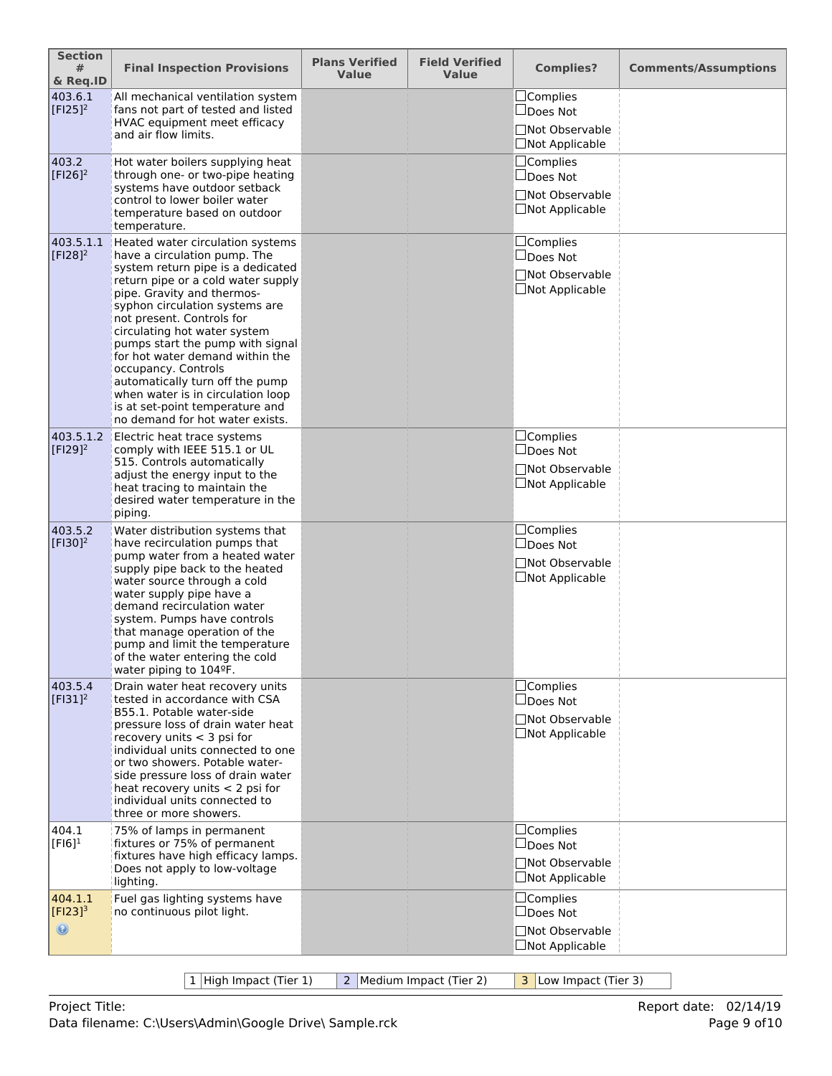| <b>Section</b><br>#<br>& Req.ID           | <b>Final Inspection Provisions</b>                                                                                                                                                                                                                                                                                                                                                                                                                                                                                   | <b>Plans Verified</b><br><b>Value</b> | <b>Field Verified</b><br><b>Value</b> | <b>Complies?</b>                                                               | <b>Comments/Assumptions</b> |
|-------------------------------------------|----------------------------------------------------------------------------------------------------------------------------------------------------------------------------------------------------------------------------------------------------------------------------------------------------------------------------------------------------------------------------------------------------------------------------------------------------------------------------------------------------------------------|---------------------------------------|---------------------------------------|--------------------------------------------------------------------------------|-----------------------------|
| 403.6.1<br>$[$ F125]^{2}                  | All mechanical ventilation system<br>fans not part of tested and listed<br>HVAC equipment meet efficacy<br>and air flow limits.                                                                                                                                                                                                                                                                                                                                                                                      |                                       |                                       | $\Box$ Complies<br>$\Box$ Does Not<br>□Not Observable<br>$\Box$ Not Applicable |                             |
| 403.2<br>$[F126]^{2}$                     | Hot water boilers supplying heat<br>through one- or two-pipe heating<br>systems have outdoor setback<br>control to lower boiler water<br>temperature based on outdoor<br>temperature.                                                                                                                                                                                                                                                                                                                                |                                       |                                       | $\Box$ Complies<br>$\Box$ Does Not<br>□Not Observable<br>□Not Applicable       |                             |
| 403.5.1.1<br>$[F128]^{2}$                 | Heated water circulation systems<br>have a circulation pump. The<br>system return pipe is a dedicated<br>return pipe or a cold water supply<br>pipe. Gravity and thermos-<br>syphon circulation systems are<br>not present. Controls for<br>circulating hot water system<br>pumps start the pump with signal<br>for hot water demand within the<br>occupancy. Controls<br>automatically turn off the pump<br>when water is in circulation loop<br>is at set-point temperature and<br>no demand for hot water exists. |                                       |                                       | □Complies<br>$\square$ Does Not<br>□Not Observable<br>$\Box$ Not Applicable    |                             |
| 403.5.1.2<br>$[F129]^{2}$                 | Electric heat trace systems<br>comply with IEEE 515.1 or UL<br>515. Controls automatically<br>adjust the energy input to the<br>heat tracing to maintain the<br>desired water temperature in the<br>piping.                                                                                                                                                                                                                                                                                                          |                                       |                                       | $\Box$ Complies<br>$\Box$ Does Not<br>□Not Observable<br>$\Box$ Not Applicable |                             |
| 403.5.2<br>$[F130]^{2}$                   | Water distribution systems that<br>have recirculation pumps that<br>pump water from a heated water<br>supply pipe back to the heated<br>water source through a cold<br>water supply pipe have a<br>demand recirculation water<br>system. Pumps have controls<br>that manage operation of the<br>pump and limit the temperature<br>of the water entering the cold<br>water piping to 104ºF.                                                                                                                           |                                       |                                       | $\Box$ Complies<br>$\Box$ Does Not<br>□Not Observable<br>$\Box$ Not Applicable |                             |
| 403.5.4<br>$[F131]^2$                     | Drain water heat recovery units<br>tested in accordance with CSA<br>B55.1. Potable water-side<br>pressure loss of drain water heat<br>recovery units $<$ 3 psi for<br>individual units connected to one<br>or two showers. Potable water-<br>side pressure loss of drain water<br>heat recovery units $<$ 2 psi for<br>individual units connected to<br>three or more showers.                                                                                                                                       |                                       |                                       | □Complies<br>$\Box$ Does Not<br>□Not Observable<br>$\Box$ Not Applicable       |                             |
| 404.1<br>$[F16]$ <sup>1</sup>             | 75% of lamps in permanent<br>fixtures or 75% of permanent<br>fixtures have high efficacy lamps.<br>Does not apply to low-voltage<br>lighting.                                                                                                                                                                                                                                                                                                                                                                        |                                       |                                       | $\Box$ Complies<br>$\Box$ Does Not<br>□Not Observable<br>□Not Applicable       |                             |
| 404.1.1<br>$[Fl23]^{3}$<br>$\circledcirc$ | Fuel gas lighting systems have<br>no continuous pilot light.                                                                                                                                                                                                                                                                                                                                                                                                                                                         |                                       |                                       | $\Box$ Complies<br>$\Box$ Does Not<br>□Not Observable<br>$\Box$ Not Applicable |                             |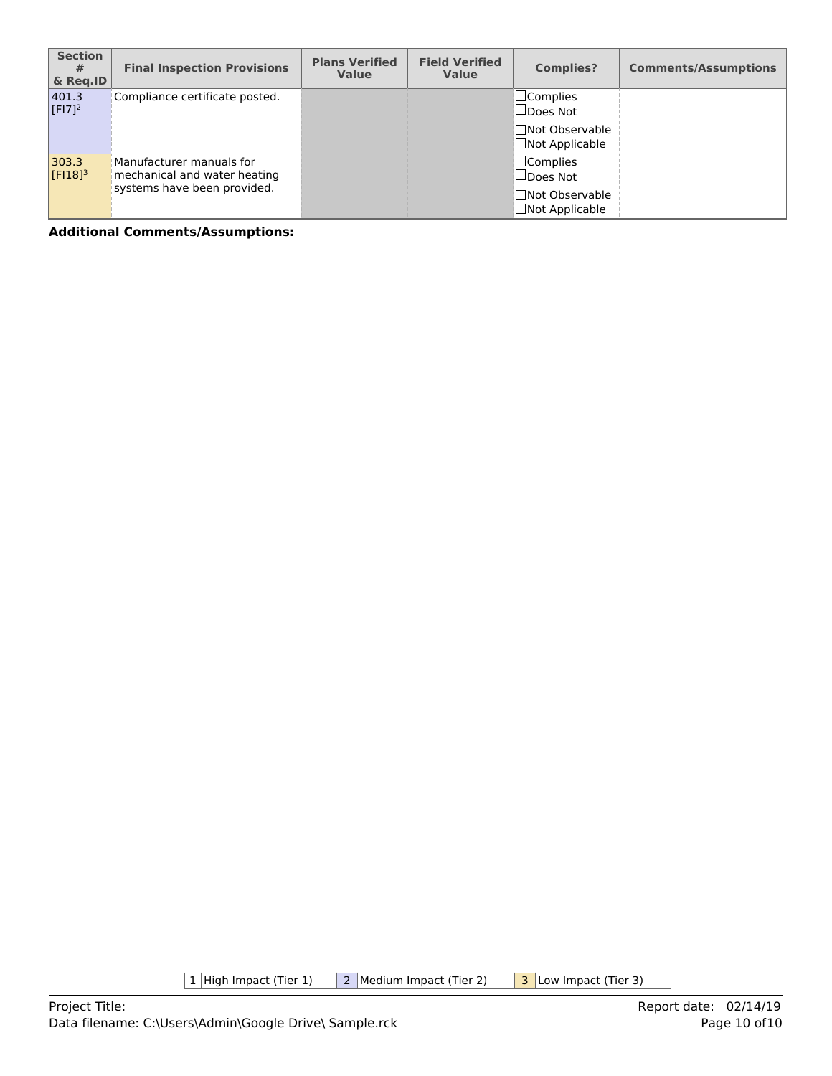| <b>Section</b><br>#<br>& Reg.ID | <b>Final Inspection Provisions</b>                                                      | <b>Plans Verified</b><br><b>Value</b> | <b>Field Verified</b><br><b>Value</b> | <b>Complies?</b>                                                                  | <b>Comments/Assumptions</b> |
|---------------------------------|-----------------------------------------------------------------------------------------|---------------------------------------|---------------------------------------|-----------------------------------------------------------------------------------|-----------------------------|
| 401.3<br>$[F17]^{2}$            | Compliance certificate posted.                                                          |                                       |                                       | $\square$ Complies<br>$\Box$ Does Not<br>□Not Observable<br>$\Box$ Not Applicable |                             |
| 303.3<br>$[F18]$ <sup>3</sup>   | Manufacturer manuals for<br>mechanical and water heating<br>systems have been provided. |                                       |                                       | $\Box$ Complies<br>$\Box$ Does Not<br>□Not Observable<br>$\Box$ Not Applicable    |                             |